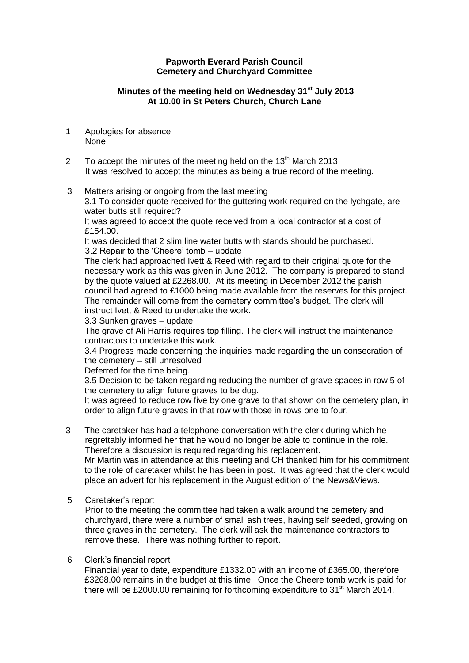### **Papworth Everard Parish Council Cemetery and Churchyard Committee**

# **Minutes of the meeting held on Wednesday 31st July 2013 At 10.00 in St Peters Church, Church Lane**

- 1 Apologies for absence None
- 2 To accept the minutes of the meeting held on the  $13<sup>th</sup>$  March 2013 It was resolved to accept the minutes as being a true record of the meeting.
- 3 Matters arising or ongoing from the last meeting

3.1 To consider quote received for the guttering work required on the lychgate, are water butts still required?

It was agreed to accept the quote received from a local contractor at a cost of £154.00.

It was decided that 2 slim line water butts with stands should be purchased. 3.2 Repair to the 'Cheere' tomb – update

The clerk had approached Ivett & Reed with regard to their original quote for the necessary work as this was given in June 2012. The company is prepared to stand by the quote valued at £2268.00. At its meeting in December 2012 the parish council had agreed to £1000 being made available from the reserves for this project. The remainder will come from the cemetery committee's budget. The clerk will instruct Ivett & Reed to undertake the work.

#### 3.3 Sunken graves – update

The grave of Ali Harris requires top filling. The clerk will instruct the maintenance contractors to undertake this work.

3.4 Progress made concerning the inquiries made regarding the un consecration of the cemetery – still unresolved

Deferred for the time being.

3.5 Decision to be taken regarding reducing the number of grave spaces in row 5 of the cemetery to align future graves to be dug.

It was agreed to reduce row five by one grave to that shown on the cemetery plan, in order to align future graves in that row with those in rows one to four.

3 The caretaker has had a telephone conversation with the clerk during which he regrettably informed her that he would no longer be able to continue in the role. Therefore a discussion is required regarding his replacement.

Mr Martin was in attendance at this meeting and CH thanked him for his commitment to the role of caretaker whilst he has been in post. It was agreed that the clerk would place an advert for his replacement in the August edition of the News&Views.

# 5 Caretaker's report

Prior to the meeting the committee had taken a walk around the cemetery and churchyard, there were a number of small ash trees, having self seeded, growing on three graves in the cemetery. The clerk will ask the maintenance contractors to remove these. There was nothing further to report.

# 6 Clerk's financial report

Financial year to date, expenditure £1332.00 with an income of £365.00, therefore £3268.00 remains in the budget at this time. Once the Cheere tomb work is paid for there will be £2000.00 remaining for forthcoming expenditure to  $31<sup>st</sup>$  March 2014.